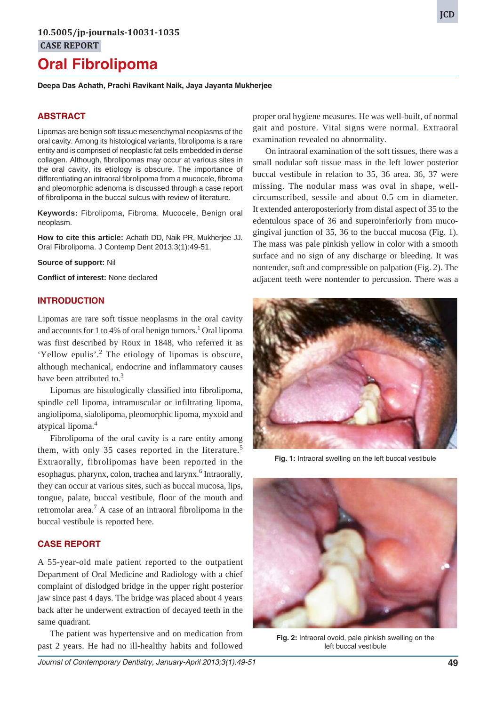# **Oral Fibrolipoma**

**Deepa Das Achath, Prachi Ravikant Naik, Jaya Jayanta Mukherjee**

# **ABSTRACT**

Lipomas are benign soft tissue mesenchymal neoplasms of the oral cavity. Among its histological variants, fibrolipoma is a rare entity and is comprised of neoplastic fat cells embedded in dense collagen. Although, fibrolipomas may occur at various sites in the oral cavity, its etiology is obscure. The importance of differentiating an intraoral fibrolipoma from a mucocele, fibroma and pleomorphic adenoma is discussed through a case report of fibrolipoma in the buccal sulcus with review of literature.

**Keywords:** Fibrolipoma, Fibroma, Mucocele, Benign oral neoplasm.

**How to cite this article:** Achath DD, Naik PR, Mukherjee JJ. Oral Fibrolipoma. J Contemp Dent 2013;3(1):49-51.

**Source of support:** Nil

**Conflict of interest:** None declared

## **INTRODUCTION**

Lipomas are rare soft tissue neoplasms in the oral cavity and accounts for 1 to 4% of oral benign tumors.<sup>1</sup> Oral lipoma was first described by Roux in 1848, who referred it as 'Yellow epulis'.<sup>2</sup> The etiology of lipomas is obscure, although mechanical, endocrine and inflammatory causes have been attributed to.<sup>3</sup>

Lipomas are histologically classified into fibrolipoma, spindle cell lipoma, intramuscular or infiltrating lipoma, angiolipoma, sialolipoma, pleomorphic lipoma, myxoid and atypical lipoma.4

Fibrolipoma of the oral cavity is a rare entity among them, with only 35 cases reported in the literature.<sup>5</sup> Extraorally, fibrolipomas have been reported in the esophagus, pharynx, colon, trachea and larynx.<sup>6</sup> Intraorally, they can occur at various sites, such as buccal mucosa, lips, tongue, palate, buccal vestibule, floor of the mouth and retromolar area.<sup>7</sup> A case of an intraoral fibrolipoma in the buccal vestibule is reported here.

## **CASE REPORT**

A 55-year-old male patient reported to the outpatient Department of Oral Medicine and Radiology with a chief complaint of dislodged bridge in the upper right posterior jaw since past 4 days. The bridge was placed about 4 years back after he underwent extraction of decayed teeth in the same quadrant.

The patient was hypertensive and on medication from past 2 years. He had no ill-healthy habits and followed

proper oral hygiene measures. He was well-built, of normal gait and posture. Vital signs were normal. Extraoral examination revealed no abnormality.

On intraoral examination of the soft tissues, there was a small nodular soft tissue mass in the left lower posterior buccal vestibule in relation to 35, 36 area. 36, 37 were missing. The nodular mass was oval in shape, wellcircumscribed, sessile and about 0.5 cm in diameter. It extended anteroposteriorly from distal aspect of 35 to the edentulous space of 36 and superoinferiorly from mucogingival junction of 35, 36 to the buccal mucosa (Fig. 1). The mass was pale pinkish yellow in color with a smooth surface and no sign of any discharge or bleeding. It was nontender, soft and compressible on palpation (Fig. 2). The adjacent teeth were nontender to percussion. There was a



**Fig. 1:** Intraoral swelling on the left buccal vestibule



**Fig. 2:** Intraoral ovoid, pale pinkish swelling on the left buccal vestibule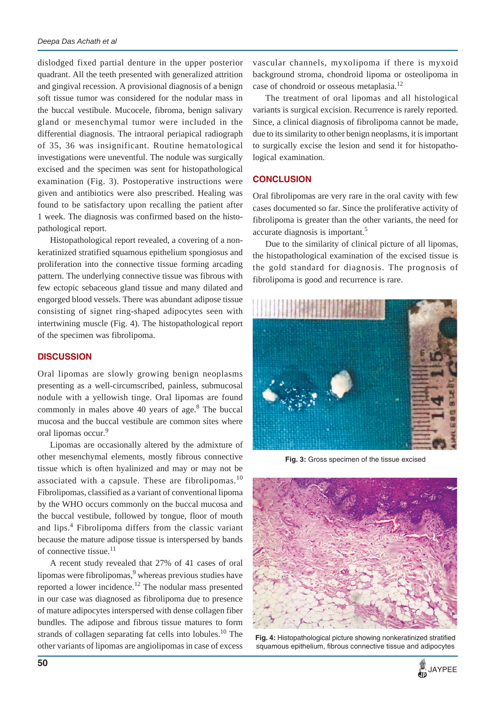dislodged fixed partial denture in the upper posterior quadrant. All the teeth presented with generalized attrition and gingival recession. A provisional diagnosis of a benign soft tissue tumor was considered for the nodular mass in the buccal vestibule. Mucocele, fibroma, benign salivary gland or mesenchymal tumor were included in the differential diagnosis. The intraoral periapical radiograph of 35, 36 was insignificant. Routine hematological investigations were uneventful. The nodule was surgically excised and the specimen was sent for histopathological examination (Fig. 3). Postoperative instructions were given and antibiotics were also prescribed. Healing was found to be satisfactory upon recalling the patient after 1 week. The diagnosis was confirmed based on the histopathological report.

Histopathological report revealed, a covering of a nonkeratinized stratified squamous epithelium spongiosus and proliferation into the connective tissue forming arcading pattern. The underlying connective tissue was fibrous with few ectopic sebaceous gland tissue and many dilated and engorged blood vessels. There was abundant adipose tissue consisting of signet ring-shaped adipocytes seen with intertwining muscle (Fig. 4). The histopathological report of the specimen was fibrolipoma.

## **DISCUSSION**

Oral lipomas are slowly growing benign neoplasms presenting as a well-circumscribed, painless, submucosal nodule with a yellowish tinge. Oral lipomas are found commonly in males above  $40$  years of age.<sup>8</sup> The buccal mucosa and the buccal vestibule are common sites where oral lipomas occur.<sup>9</sup>

Lipomas are occasionally altered by the admixture of other mesenchymal elements, mostly fibrous connective tissue which is often hyalinized and may or may not be associated with a capsule. These are fibrolipomas.<sup>10</sup> Fibrolipomas, classified as a variant of conventional lipoma by the WHO occurs commonly on the buccal mucosa and the buccal vestibule, followed by tongue, floor of mouth and lips.<sup>4</sup> Fibrolipoma differs from the classic variant because the mature adipose tissue is interspersed by bands of connective tissue.<sup>11</sup>

A recent study revealed that 27% of 41 cases of oral lipomas were fibrolipomas, <sup>9</sup> whereas previous studies have reported a lower incidence.<sup>12</sup> The nodular mass presented in our case was diagnosed as fibrolipoma due to presence of mature adipocytes interspersed with dense collagen fiber bundles. The adipose and fibrous tissue matures to form strands of collagen separating fat cells into lobules.<sup>10</sup> The other variants of lipomas are angiolipomas in case of excess

vascular channels, myxolipoma if there is myxoid background stroma, chondroid lipoma or osteolipoma in case of chondroid or osseous metaplasia.<sup>12</sup>

The treatment of oral lipomas and all histological variants is surgical excision. Recurrence is rarely reported. Since, a clinical diagnosis of fibrolipoma cannot be made, due to its similarity to other benign neoplasms, it is important to surgically excise the lesion and send it for histopathological examination.

# **CONCLUSION**

Oral fibrolipomas are very rare in the oral cavity with few cases documented so far. Since the proliferative activity of fibrolipoma is greater than the other variants, the need for accurate diagnosis is important.<sup>5</sup>

Due to the similarity of clinical picture of all lipomas, the histopathological examination of the excised tissue is the gold standard for diagnosis. The prognosis of fibrolipoma is good and recurrence is rare.



**Fig. 3:** Gross specimen of the tissue excised



**Fig. 4:** Histopathological picture showing nonkeratinized stratified squamous epithelium, fibrous connective tissue and adipocytes